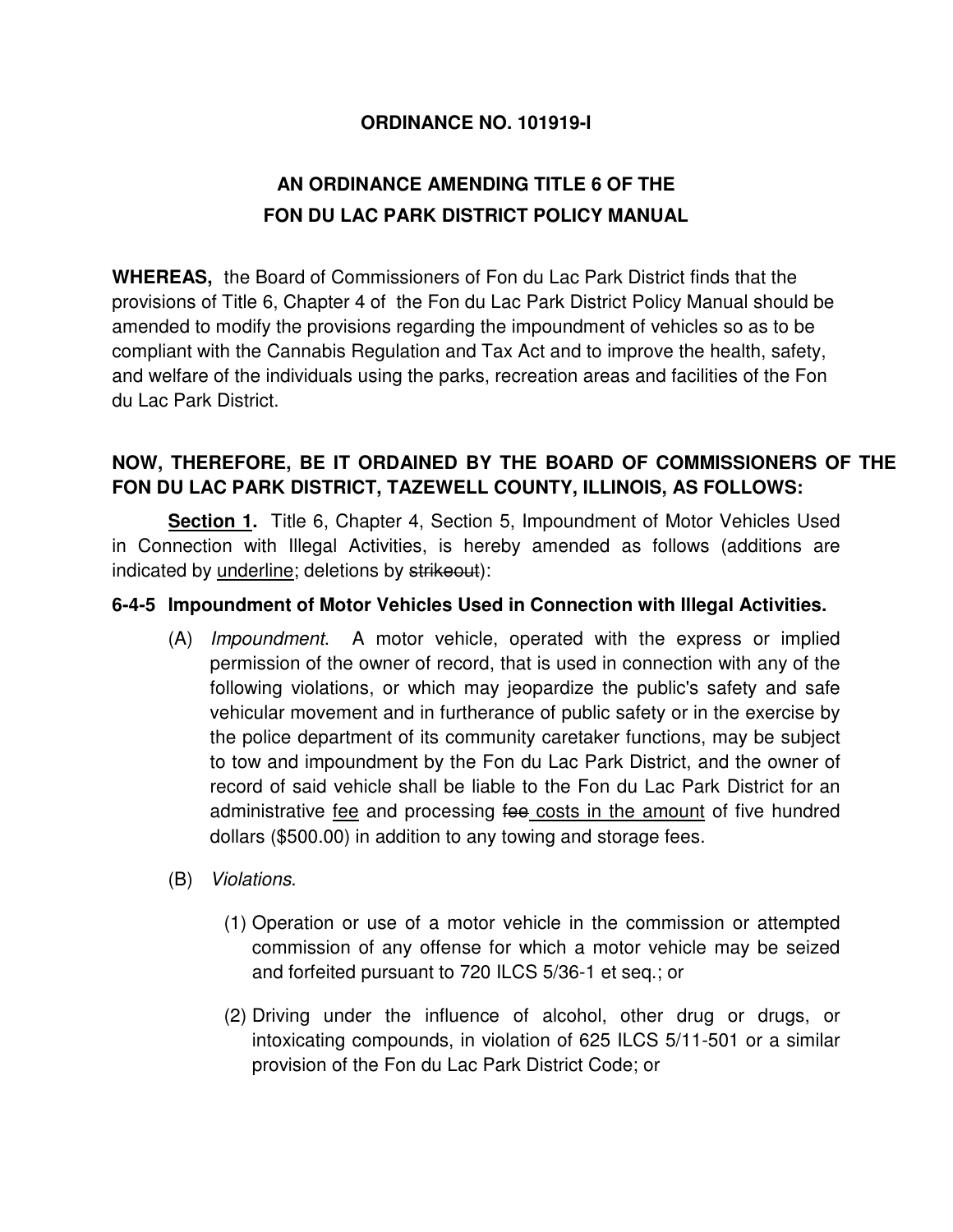#### **ORDINANCE NO. 101919-I**

# **AN ORDINANCE AMENDING TITLE 6 OF THE FON DU LAC PARK DISTRICT POLICY MANUAL**

**WHEREAS,** the Board of Commissioners of Fon du Lac Park District finds that the provisions of Title 6, Chapter 4 of the Fon du Lac Park District Policy Manual should be amended to modify the provisions regarding the impoundment of vehicles so as to be compliant with the Cannabis Regulation and Tax Act and to improve the health, safety, and welfare of the individuals using the parks, recreation areas and facilities of the Fon du Lac Park District.

### **NOW, THEREFORE, BE IT ORDAINED BY THE BOARD OF COMMISSIONERS OF THE FON DU LAC PARK DISTRICT, TAZEWELL COUNTY, ILLINOIS, AS FOLLOWS:**

 **Section 1.** Title 6, Chapter 4, Section 5, Impoundment of Motor Vehicles Used in Connection with Illegal Activities, is hereby amended as follows (additions are indicated by underline; deletions by strikeout):

#### **6-4-5 Impoundment of Motor Vehicles Used in Connection with Illegal Activities.**

- (A) Impoundment. A motor vehicle, operated with the express or implied permission of the owner of record, that is used in connection with any of the following violations, or which may jeopardize the public's safety and safe vehicular movement and in furtherance of public safety or in the exercise by the police department of its community caretaker functions, may be subject to tow and impoundment by the Fon du Lac Park District, and the owner of record of said vehicle shall be liable to the Fon du Lac Park District for an administrative <u>fee</u> and processing fee costs in the amount of five hundred dollars (\$500.00) in addition to any towing and storage fees.
- (B) Violations.
	- (1) Operation or use of a motor vehicle in the commission or attempted commission of any offense for which a motor vehicle may be seized and forfeited pursuant to 720 ILCS 5/36-1 et seq.; or
	- (2) Driving under the influence of alcohol, other drug or drugs, or intoxicating compounds, in violation of 625 ILCS 5/11-501 or a similar provision of the Fon du Lac Park District Code; or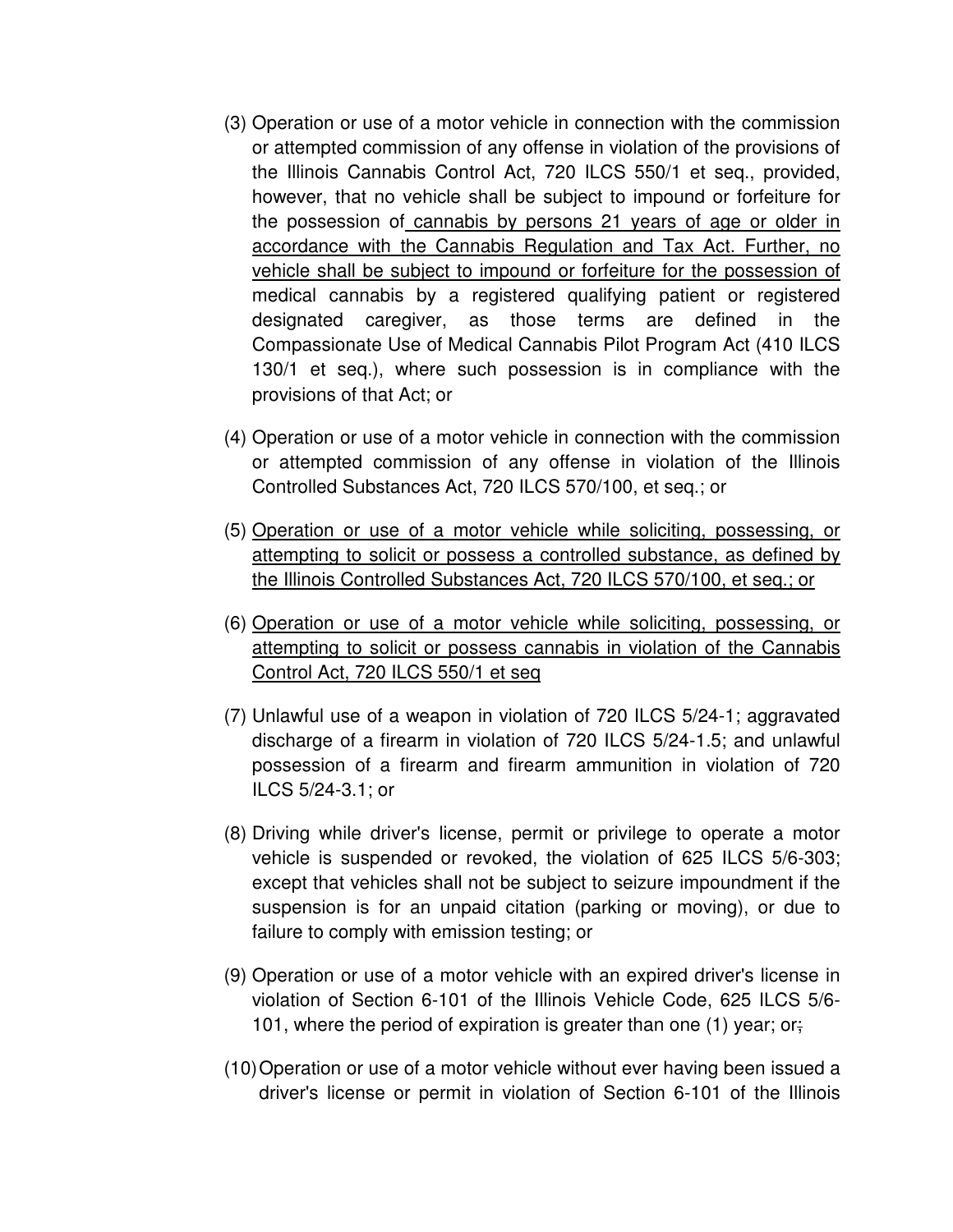- (3) Operation or use of a motor vehicle in connection with the commission or attempted commission of any offense in violation of the provisions of the Illinois Cannabis Control Act, 720 ILCS 550/1 et seq., provided, however, that no vehicle shall be subject to impound or forfeiture for the possession of cannabis by persons 21 years of age or older in accordance with the Cannabis Regulation and Tax Act. Further, no vehicle shall be subject to impound or forfeiture for the possession of medical cannabis by a registered qualifying patient or registered designated caregiver, as those terms are defined in the Compassionate Use of Medical Cannabis Pilot Program Act (410 ILCS 130/1 et seq.), where such possession is in compliance with the provisions of that Act; or
- (4) Operation or use of a motor vehicle in connection with the commission or attempted commission of any offense in violation of the Illinois Controlled Substances Act, 720 ILCS 570/100, et seq.; or
- (5) Operation or use of a motor vehicle while soliciting, possessing, or attempting to solicit or possess a controlled substance, as defined by the Illinois Controlled Substances Act, 720 ILCS 570/100, et seq.; or
- (6) Operation or use of a motor vehicle while soliciting, possessing, or attempting to solicit or possess cannabis in violation of the Cannabis Control Act, 720 ILCS 550/1 et seq
- (7) Unlawful use of a weapon in violation of 720 ILCS 5/24-1; aggravated discharge of a firearm in violation of 720 ILCS 5/24-1.5; and unlawful possession of a firearm and firearm ammunition in violation of 720 ILCS 5/24-3.1; or
- (8) Driving while driver's license, permit or privilege to operate a motor vehicle is suspended or revoked, the violation of 625 ILCS 5/6-303; except that vehicles shall not be subject to seizure impoundment if the suspension is for an unpaid citation (parking or moving), or due to failure to comply with emission testing; or
- (9) Operation or use of a motor vehicle with an expired driver's license in violation of Section 6-101 of the Illinois Vehicle Code, 625 ILCS 5/6- 101, where the period of expiration is greater than one (1) year; or;
- (10) Operation or use of a motor vehicle without ever having been issued a driver's license or permit in violation of Section 6-101 of the Illinois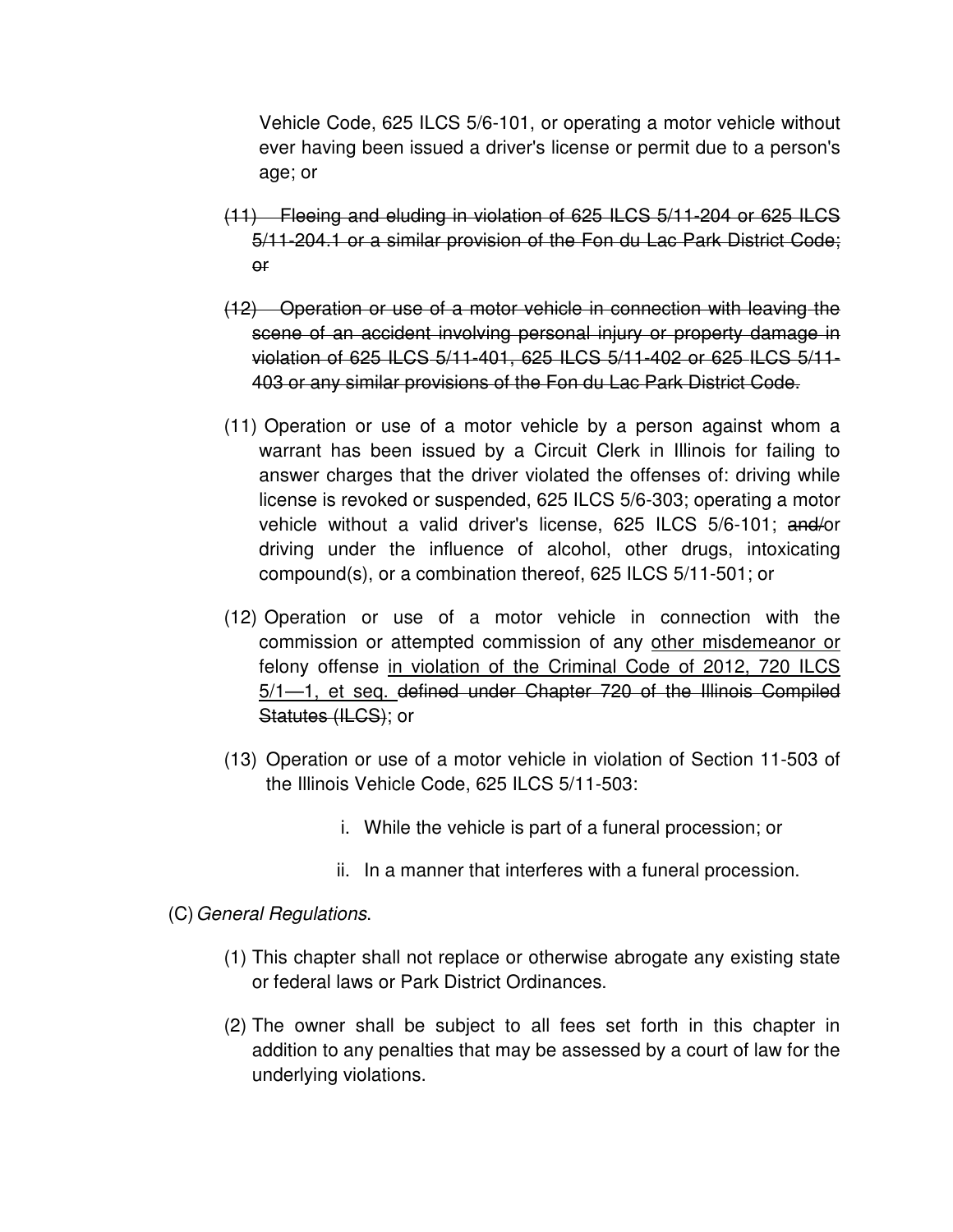Vehicle Code, 625 ILCS 5/6-101, or operating a motor vehicle without ever having been issued a driver's license or permit due to a person's age; or

- (11) Fleeing and eluding in violation of 625 ILCS 5/11-204 or 625 ILCS 5/11-204.1 or a similar provision of the Fon du Lac Park District Code; or
- (12) Operation or use of a motor vehicle in connection with leaving the scene of an accident involving personal injury or property damage in violation of 625 ILCS 5/11-401, 625 ILCS 5/11-402 or 625 ILCS 5/11- 403 or any similar provisions of the Fon du Lac Park District Code.
- (11) Operation or use of a motor vehicle by a person against whom a warrant has been issued by a Circuit Clerk in Illinois for failing to answer charges that the driver violated the offenses of: driving while license is revoked or suspended, 625 ILCS 5/6-303; operating a motor vehicle without a valid driver's license, 625 ILCS 5/6-101; and/or driving under the influence of alcohol, other drugs, intoxicating compound(s), or a combination thereof, 625 ILCS 5/11-501; or
- (12) Operation or use of a motor vehicle in connection with the commission or attempted commission of any other misdemeanor or felony offense in violation of the Criminal Code of 2012, 720 ILCS 5/1—1, et seq. defined under Chapter 720 of the Illinois Compiled Statutes (ILCS); or
- (13) Operation or use of a motor vehicle in violation of Section 11-503 of the Illinois Vehicle Code, 625 ILCS 5/11-503:
	- i. While the vehicle is part of a funeral procession; or
	- ii. In a manner that interferes with a funeral procession.
- (C) General Regulations.
	- (1) This chapter shall not replace or otherwise abrogate any existing state or federal laws or Park District Ordinances.
	- (2) The owner shall be subject to all fees set forth in this chapter in addition to any penalties that may be assessed by a court of law for the underlying violations.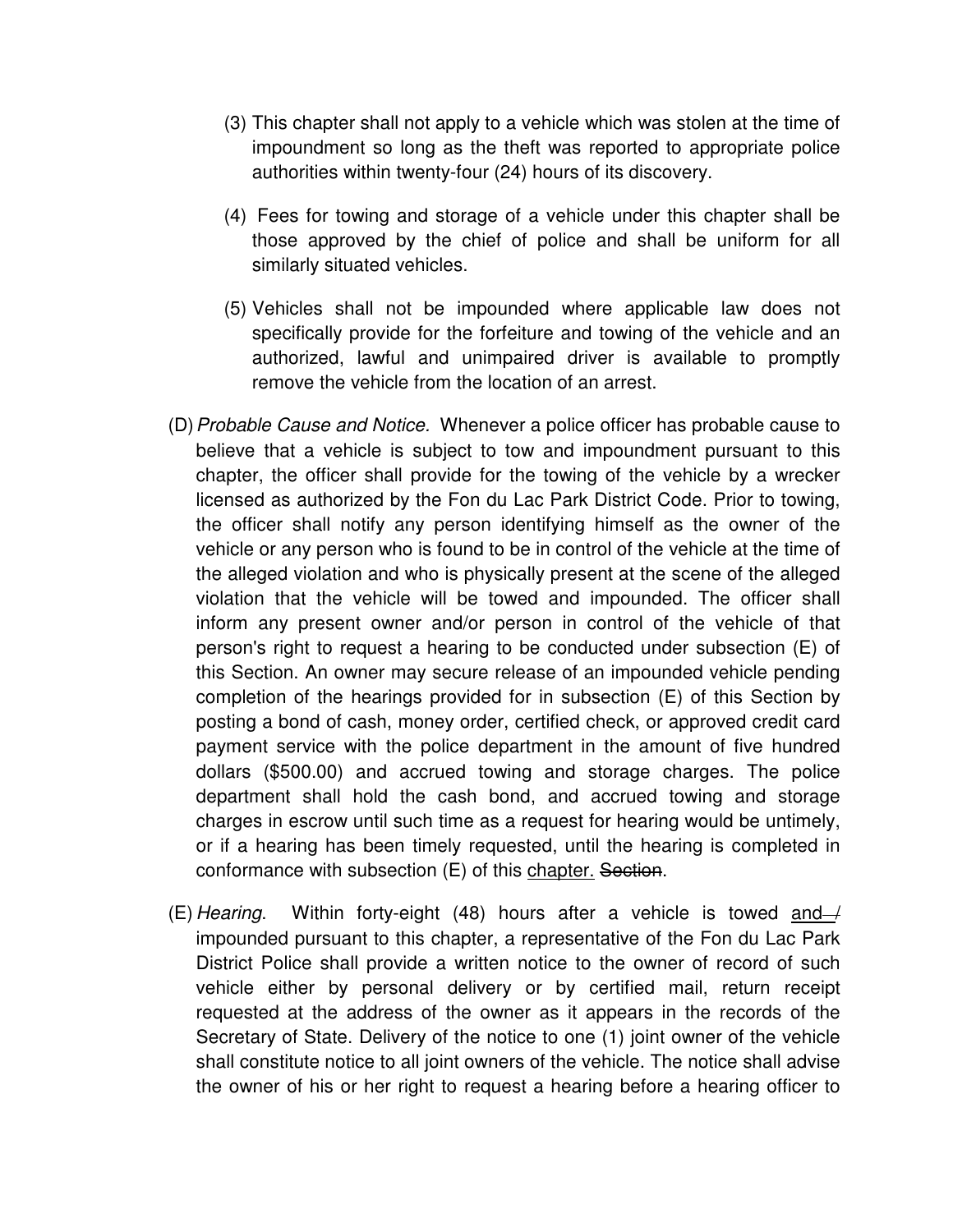- (3) This chapter shall not apply to a vehicle which was stolen at the time of impoundment so long as the theft was reported to appropriate police authorities within twenty-four (24) hours of its discovery.
- (4) Fees for towing and storage of a vehicle under this chapter shall be those approved by the chief of police and shall be uniform for all similarly situated vehicles.
- (5) Vehicles shall not be impounded where applicable law does not specifically provide for the forfeiture and towing of the vehicle and an authorized, lawful and unimpaired driver is available to promptly remove the vehicle from the location of an arrest.
- (D) Probable Cause and Notice. Whenever a police officer has probable cause to believe that a vehicle is subject to tow and impoundment pursuant to this chapter, the officer shall provide for the towing of the vehicle by a wrecker licensed as authorized by the Fon du Lac Park District Code. Prior to towing, the officer shall notify any person identifying himself as the owner of the vehicle or any person who is found to be in control of the vehicle at the time of the alleged violation and who is physically present at the scene of the alleged violation that the vehicle will be towed and impounded. The officer shall inform any present owner and/or person in control of the vehicle of that person's right to request a hearing to be conducted under subsection (E) of this Section. An owner may secure release of an impounded vehicle pending completion of the hearings provided for in subsection (E) of this Section by posting a bond of cash, money order, certified check, or approved credit card payment service with the police department in the amount of five hundred dollars (\$500.00) and accrued towing and storage charges. The police department shall hold the cash bond, and accrued towing and storage charges in escrow until such time as a request for hearing would be untimely, or if a hearing has been timely requested, until the hearing is completed in conformance with subsection (E) of this chapter. Section.
- (E) Hearing. Within forty-eight (48) hours after a vehicle is towed and  $\rightarrow$ impounded pursuant to this chapter, a representative of the Fon du Lac Park District Police shall provide a written notice to the owner of record of such vehicle either by personal delivery or by certified mail, return receipt requested at the address of the owner as it appears in the records of the Secretary of State. Delivery of the notice to one (1) joint owner of the vehicle shall constitute notice to all joint owners of the vehicle. The notice shall advise the owner of his or her right to request a hearing before a hearing officer to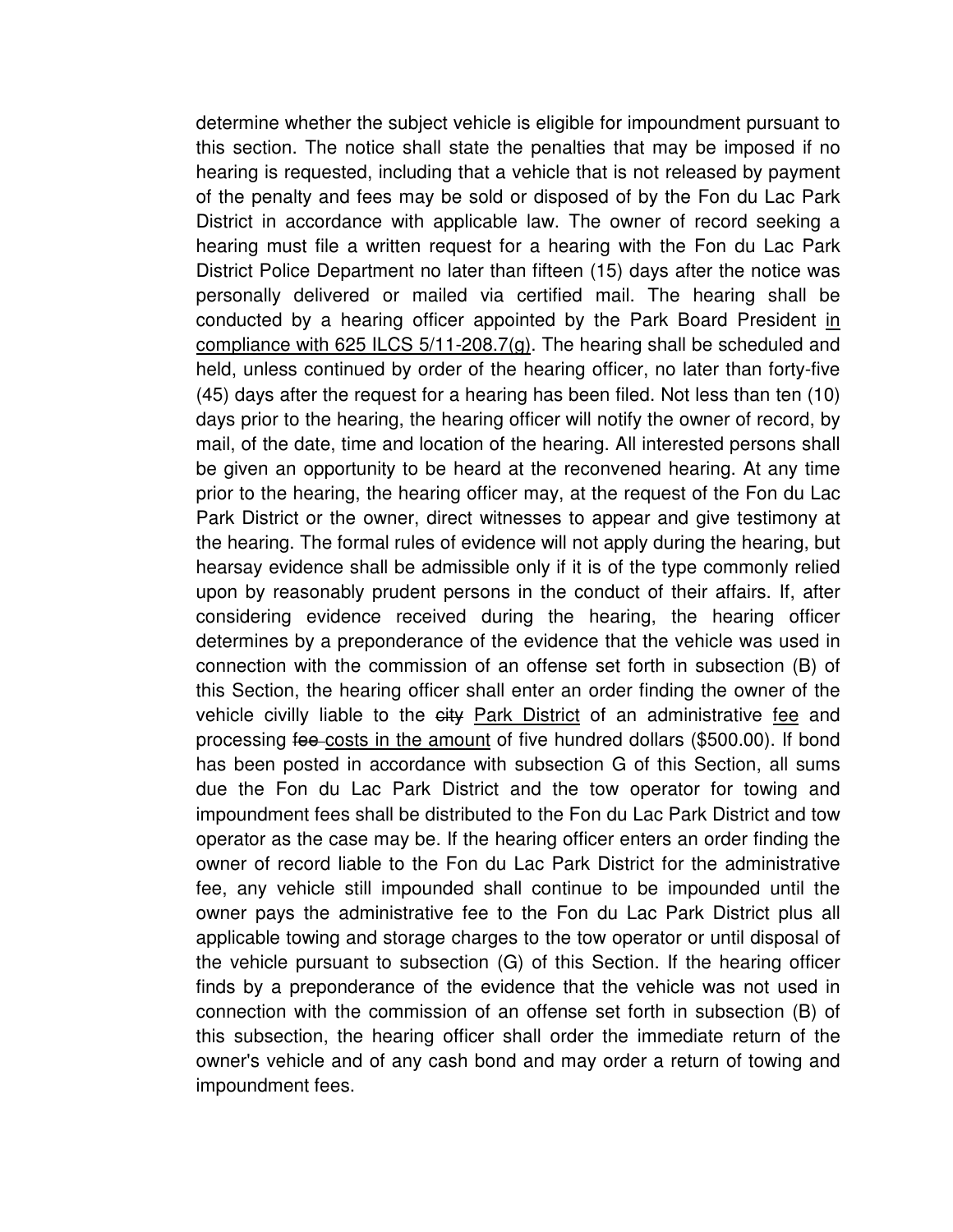determine whether the subject vehicle is eligible for impoundment pursuant to this section. The notice shall state the penalties that may be imposed if no hearing is requested, including that a vehicle that is not released by payment of the penalty and fees may be sold or disposed of by the Fon du Lac Park District in accordance with applicable law. The owner of record seeking a hearing must file a written request for a hearing with the Fon du Lac Park District Police Department no later than fifteen (15) days after the notice was personally delivered or mailed via certified mail. The hearing shall be conducted by a hearing officer appointed by the Park Board President in compliance with 625 ILCS 5/11-208.7(g). The hearing shall be scheduled and held, unless continued by order of the hearing officer, no later than forty-five (45) days after the request for a hearing has been filed. Not less than ten (10) days prior to the hearing, the hearing officer will notify the owner of record, by mail, of the date, time and location of the hearing. All interested persons shall be given an opportunity to be heard at the reconvened hearing. At any time prior to the hearing, the hearing officer may, at the request of the Fon du Lac Park District or the owner, direct witnesses to appear and give testimony at the hearing. The formal rules of evidence will not apply during the hearing, but hearsay evidence shall be admissible only if it is of the type commonly relied upon by reasonably prudent persons in the conduct of their affairs. If, after considering evidence received during the hearing, the hearing officer determines by a preponderance of the evidence that the vehicle was used in connection with the commission of an offense set forth in subsection (B) of this Section, the hearing officer shall enter an order finding the owner of the vehicle civilly liable to the eity Park District of an administrative fee and processing fee costs in the amount of five hundred dollars (\$500.00). If bond has been posted in accordance with subsection G of this Section, all sums due the Fon du Lac Park District and the tow operator for towing and impoundment fees shall be distributed to the Fon du Lac Park District and tow operator as the case may be. If the hearing officer enters an order finding the owner of record liable to the Fon du Lac Park District for the administrative fee, any vehicle still impounded shall continue to be impounded until the owner pays the administrative fee to the Fon du Lac Park District plus all applicable towing and storage charges to the tow operator or until disposal of the vehicle pursuant to subsection (G) of this Section. If the hearing officer finds by a preponderance of the evidence that the vehicle was not used in connection with the commission of an offense set forth in subsection (B) of this subsection, the hearing officer shall order the immediate return of the owner's vehicle and of any cash bond and may order a return of towing and impoundment fees.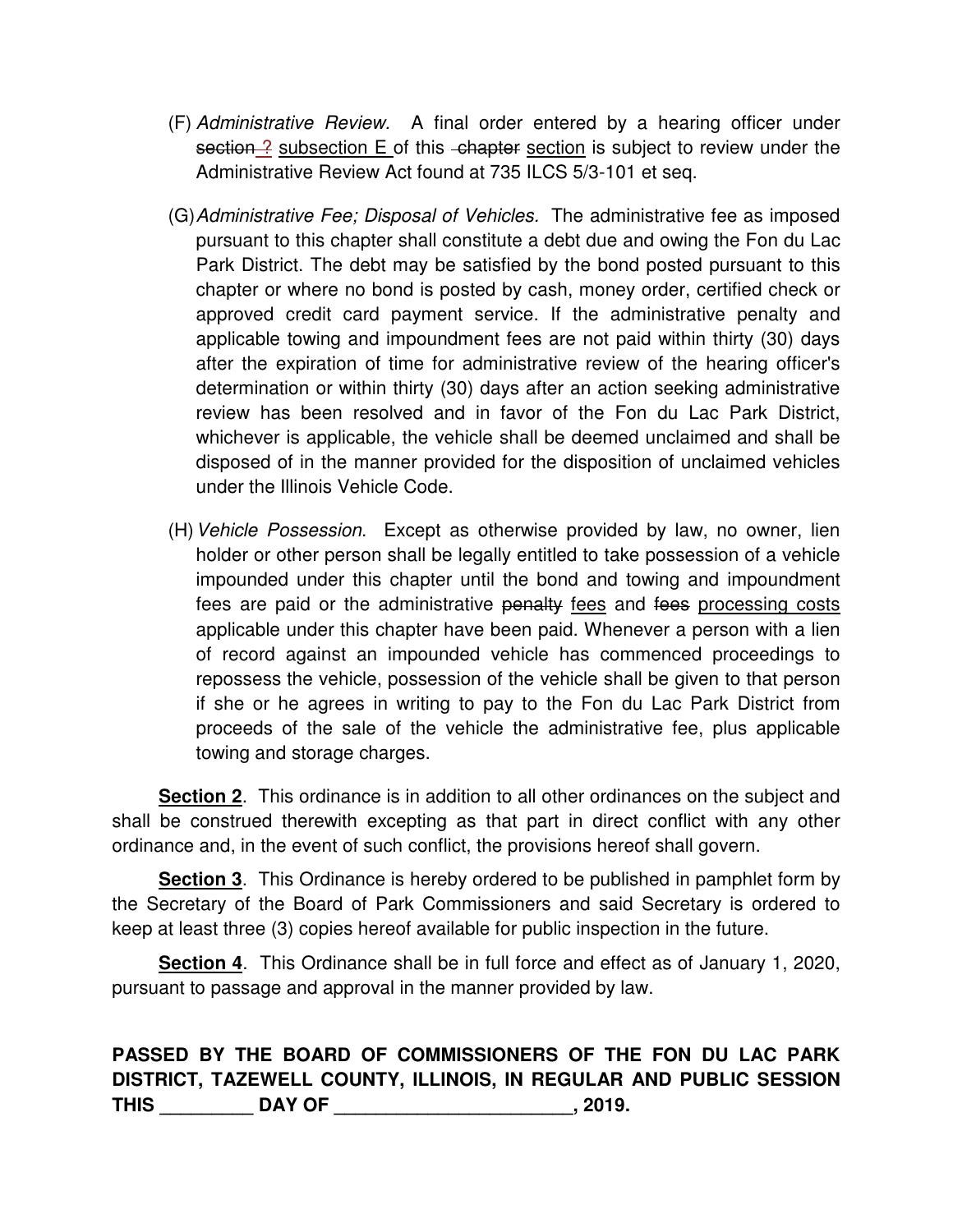- (F) Administrative Review. A final order entered by a hearing officer under section ? subsection E of this chapter section is subject to review under the Administrative Review Act found at 735 ILCS 5/3-101 et seq.
- (G) Administrative Fee; Disposal of Vehicles. The administrative fee as imposed pursuant to this chapter shall constitute a debt due and owing the Fon du Lac Park District. The debt may be satisfied by the bond posted pursuant to this chapter or where no bond is posted by cash, money order, certified check or approved credit card payment service. If the administrative penalty and applicable towing and impoundment fees are not paid within thirty (30) days after the expiration of time for administrative review of the hearing officer's determination or within thirty (30) days after an action seeking administrative review has been resolved and in favor of the Fon du Lac Park District, whichever is applicable, the vehicle shall be deemed unclaimed and shall be disposed of in the manner provided for the disposition of unclaimed vehicles under the Illinois Vehicle Code.
- (H) Vehicle Possession. Except as otherwise provided by law, no owner, lien holder or other person shall be legally entitled to take possession of a vehicle impounded under this chapter until the bond and towing and impoundment fees are paid or the administrative penalty fees and fees processing costs applicable under this chapter have been paid. Whenever a person with a lien of record against an impounded vehicle has commenced proceedings to repossess the vehicle, possession of the vehicle shall be given to that person if she or he agrees in writing to pay to the Fon du Lac Park District from proceeds of the sale of the vehicle the administrative fee, plus applicable towing and storage charges.

 **Section 2**. This ordinance is in addition to all other ordinances on the subject and shall be construed therewith excepting as that part in direct conflict with any other ordinance and, in the event of such conflict, the provisions hereof shall govern.

**Section 3**. This Ordinance is hereby ordered to be published in pamphlet form by the Secretary of the Board of Park Commissioners and said Secretary is ordered to keep at least three (3) copies hereof available for public inspection in the future.

**Section 4**. This Ordinance shall be in full force and effect as of January 1, 2020, pursuant to passage and approval in the manner provided by law.

## **PASSED BY THE BOARD OF COMMISSIONERS OF THE FON DU LAC PARK DISTRICT, TAZEWELL COUNTY, ILLINOIS, IN REGULAR AND PUBLIC SESSION THIS \_\_\_\_\_\_\_\_\_ DAY OF \_\_\_\_\_\_\_\_\_\_\_\_\_\_\_\_\_\_\_\_\_\_\_, 2019.**